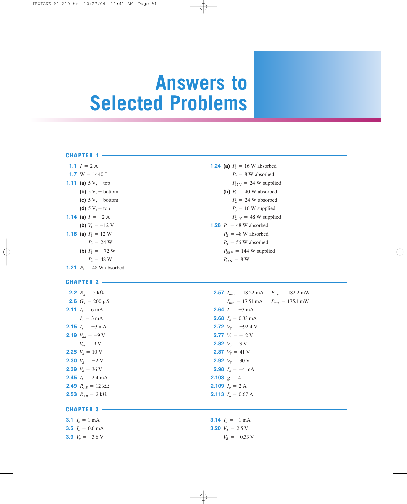# **Answers to Selected Problems**

#### **CHAPTER 1**

| 1.1 $I = 2A$                      | <b>1.24 (a)</b> $P_1 = 16$ W absorbed     |
|-----------------------------------|-------------------------------------------|
| 1.7 W = 1440 J                    | $P_2 = 8$ W absorbed                      |
| <b>1.11 (a)</b> $5V$ , + top      | $P_{12\text{V}} = 24 \text{W}$ supplies   |
| (b) $5V + bottom$                 | (b) $P_1 = 40$ W absorbed                 |
| (c) $5 V + bottom$                | $P_2 = 24$ W absorbed                     |
| (d) $5 V + top$                   | $P_3 = 16$ W supplied                     |
| <b>1.14 (a)</b> $I = -2$ A        | $P_{24\text{V}} = 48\text{ W}$ supplies   |
| (b) $V_1 = -12$ V                 | <b>1.28</b> $P_1 = 48$ W absorbed         |
| <b>1.18 (a)</b> $P_1 = 12$ W      | $P_2 = 48$ W absorbed                     |
| $P_2 = 24$ W                      | $P_3 = 56$ W absorbed                     |
| (b) $P_1 = -72$ W                 | $P_{36\text{ V}} = 144\text{ W}$ supplied |
| $P_2 = 48$ W                      | $P_{DS}$ = 8 W                            |
| <b>1.21</b> $P_2 = 48$ W absorbed |                                           |

# $P_2 = 8$  W absorbed  $P_{12\text{ V}} = 24 \text{ W}$  supplied **(b)**  $P_1 = 40$  W absorbed  $P_2 = 24$  W absorbed  $P_3 = 16$  W supplied  $P_{24\text{ V}} = 48 \text{ W}$  supplied **1.28**  $P_1 = 48$  W absorbed  $P_2 = 48$  W absorbed  $P_3 = 56$  W absorbed  $P_{36 \text{ V}} = 144 \text{ W}$  supplied  $P_{\text{D.S.}} = 8 \text{ W}$

| <b>2.2</b> $R_x = 5 k\Omega$              | <b>2.57</b> $I_{\text{max}} = 18.22 \text{ mA}$ $P_{\text{max}} = 182.2 \text{ mW}$ |
|-------------------------------------------|-------------------------------------------------------------------------------------|
| <b>2.6</b> $G_r = 200 \mu S$              | $I_{\min} = 17.51 \text{ mA}$ $P_{\min} = 175.1 \text{ mW}$                         |
| <b>2.11</b> $I_1 = 6 \text{ mA}$          | <b>2.64</b> $I_1 = -3 \text{ mA}$                                                   |
| $I_2 = 3 \text{ mA}$                      | <b>2.68</b> $Io = 0.33$ mA                                                          |
| <b>2.15</b> $I_r = -3 \text{ mA}$         | <b>2.72</b> $V_s = -92.4$ V                                                         |
| <b>2.19</b> $V_{da} = -9$ V               | <b>2.77</b> $V_o = -12$ V                                                           |
| $V_{be} = 9 \text{ V}$                    | <b>2.82</b> $V_e = 3 \text{ V}$                                                     |
| <b>2.25</b> $V_r = 10 \text{ V}$          | <b>2.87</b> $V_s = 41$ V                                                            |
| <b>2.30</b> $V_s = -2$ V                  | <b>2.92</b> $V_s = 30$ V                                                            |
| <b>2.39</b> $V_e = 36$ V                  | <b>2.98</b> $I_a = -4 \text{ mA}$                                                   |
| <b>2.45</b> $I_L = 2.4 \text{ mA}$        | <b>2.103</b> $g = 4$                                                                |
| <b>2.49</b> $R_{AB} = 12 \text{ k}\Omega$ | <b>2.109</b> $I_o = 2$ A                                                            |
| <b>2.53</b> $R_{AB} = 2 k\Omega$          | <b>2.113</b> $Io = 0.67$ A                                                          |
| <b>CHAPTER 3</b>                          |                                                                                     |

| <b>3.1</b> $I_a = 1$ mA   | <b>3.14</b> $I_a = -1$ mA |
|---------------------------|---------------------------|
| <b>3.5</b> $I_0 = 0.6$ mA | <b>3.20</b> $V_4 = 2.5$ V |
| <b>3.9</b> $V_a = -3.6$ V | $V_R = -0.33$ V           |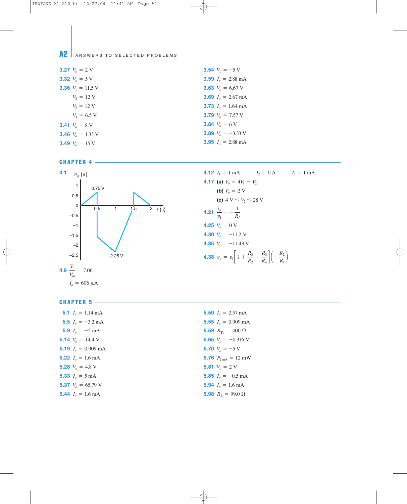A2 ANSWERS TO SELECTED PROBLEMS

| <b>3.27</b> $V_e = 2$ V         | <b>3.54</b> $V_a = -5$ V            |
|---------------------------------|-------------------------------------|
| <b>3.32</b> $V_o = 5 \text{ V}$ | <b>3.59</b> $I_o = 2.88 \text{ mA}$ |
| <b>3.36</b> $V_1 = 11.5$ V      | <b>3.63</b> $V_o = 6.67$ V          |
| $V_2 = 12$ V                    | <b>3.69</b> $I_0 = 2.67 \text{ mA}$ |
| $V_3 = 12$ V                    | <b>3.73</b> $I_o = 1.64 \text{ mA}$ |
| $V_4 = 6.5 V$                   | <b>3.79</b> $V_a = 7.57$ V          |
| <b>3.41</b> $V_e = 8$ V         | <b>3.84</b> $V_e = 6$ V             |
| <b>3.46</b> $V_e = 1.33$ V      | <b>3.89</b> $V_a = -3.33$ V         |
| <b>3.49</b> $V_e = 15$ V        | <b>3.95</b> $Io = 2.88$ mA          |



**CHAPTER 5**



### **4.17** (a)  $V_o = 4V_1 - V_2$ **(b)**  $V_o = 2$  V **(c)**  $4 \text{ V} \leq V_2 \leq 28 \text{ V}$ **4.21**  $\frac{i_o}{i}$ **4.25**  $V_o = 0 \text{ V}$ **4.30**  $V_o = -11.2$  V **4.35**  $V_o = -11.43$  V **4.38**  $v_o = v_1 \left[ 1 + \frac{R_3}{R_3} \right]$  $R<sub>2</sub>$  $+$   $\frac{R_3}{4}$  $\left[\frac{R_3}{R_4}\right]\left(-\frac{R_2}{R_1}\right)$  $v_1$  $=-\frac{1}{2}$  $R_I$

**4.12**  $I_1 = 1 \text{ mA}$   $I_2 = 0 \text{ A}$   $I_3 = 1 \text{ mA}$ 

| <b>5.1</b> $Io = 1.14 \text{ mA}$ | <b>5.50</b> $I_0 = 2.57 \text{ mA}$     |
|-----------------------------------|-----------------------------------------|
| <b>5.5</b> $I_0 = -3.2$ mA        | 5.55 $Io = 0.909$ mA                    |
| <b>5.9</b> $I_0 = -2 \text{ mA}$  | 5.59 $R_{\text{Th}} = 400 \Omega$       |
| 5.14 $V_a = 14.4$ V               | 5.65 $V_a = -0.316$ V                   |
| <b>5.19</b> $I_0 = 0.909$ mA      | 5.70 $V_a = -5$ V                       |
| <b>5.22</b> $Io = 1.6$ mA         | 5.76 $P_{2\,\text{mA}} = 12\,\text{mW}$ |
| 5.28 $V_e = 4.8$ V                | <b>5.81</b> $V_o = 2$ V                 |
| <b>5.33</b> $I_a = 5 \text{ mA}$  | <b>5.85</b> $I_a = -0.5$ mA             |
| 5.37 $V_a = 65.79$ V              | <b>5.94</b> $Io = 1.6$ mA               |
| <b>5.44</b> $L = 1.6$ mA          | 5.98 $R_1 = 99.0 \Omega$                |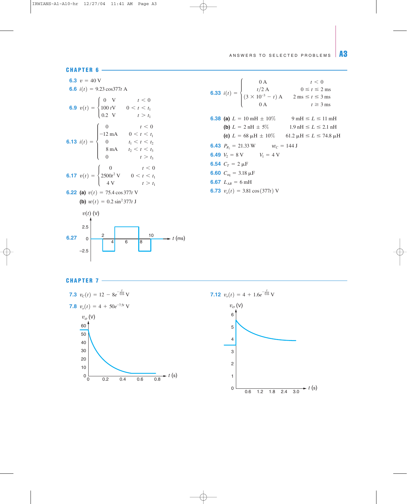# ANSWERS TO SELECTED PROBLEMS  $\|$  A3



**6.33** 
$$
i(t) =\begin{cases} 0 \text{ A} & t < 0 \\ t/2 \text{ A} & 0 \le t \le 2 \text{ ms} \\ (3 \times 10^{-3} - t) \text{ A} & 2 \text{ ms} \le t \le 3 \text{ ms} \\ 0 \text{ A} & t \ge 3 \text{ ms} \end{cases}
$$
  
\n**6.38** (a)  $L = 10 \text{ mH} \pm 10\%$   $9 \text{ mH} \le L \le 11 \text{ mH}$   
\n(b)  $L = 2 \text{ nH} \pm 5\%$   $1.9 \text{ nH} \le L \le 2.1 \text{ nH}$   
\n(c)  $L = 68 \text{ }\mu\text{H} \pm 10\%$   $61.2 \text{ }\mu\text{H} \le L \le 74.8 \text{ }\mu\text{H}$   
\n**6.43**  $P_{R_2} = 21.33 \text{ W}$   $w_C = 144 \text{ J}$   
\n**6.54**  $C_T = 2 \text{ }\mu\text{F}$   
\n**6.60**  $C_{eq} = 3.18 \text{ }\mu\text{F}$   
\n**6.67**  $L_{AB} = 6 \text{ mH}$   
\n**6.73**  $v_o(t) = 3.81 \cos(377t) \text{ V}$ 



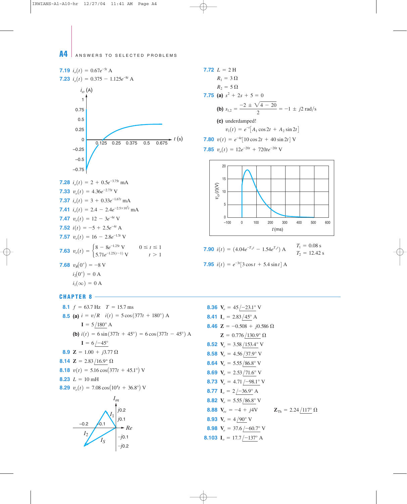A4 ANSWERS TO SELECTED PROBLEMS

7.19 
$$
i_o(t) = 0.67e^{-5t} A
$$
  
\n7.23  $i_o(t) = 0.375 - 1.125e^{-8t} A$   
\n $i_o(A)$   
\n1  
\n0.75  
\n0.25  
\n0.25  
\n0.26  
\n0.27  
\n7.28  $i_o(t) = 2 + 0.5e^{-3.75t} mA$   
\n7.33  $v_o(t) = 4.36e^{-2.73t} V$   
\n7.41  $i_o(t) = 2.4 - 2.4e^{-2.5 \times 10^5 t} mA$   
\n7.41  $i_o(t) = 12 - 3e^{-6t} V$   
\n7.52  $i(t) = -5 + 2.5e^{-4t} A$   
\n7.57  $v_o(t) = 16 - 2.8e^{-1.5t} V$   
\n7.53  $v_o(t) = \begin{cases} 8 - 8e^{-1.25t} V & 0 \le t \le 1 \\ 5.71e^{-1.25(t-1)} V & t > 1 \end{cases}$   
\n7.68  $v_R(0^+) = -8 V$   
\n $i_1(\infty) = 0 A$   
\n $i_1(\infty) = 0 A$ 

7.72 
$$
L = 2
$$
 H  
\n $R_1 = 3 \Omega$   
\n $R_2 = 5 \Omega$   
\n7.75 (a)  $s^2 + 2s + 5 = 0$   
\n(b)  $s_{1,2} = \frac{-2 \pm \sqrt{4 - 20}}{2} = -1 \pm j2 \text{ rad/s}$   
\n(c) underdamped!  
\n $v_1(t) = e^{-t}[A_1 \cos 2t + A_2 \sin 2t]$   
\n7.80  $v(t) = e^{-4t}[10 \cos 2t + 40 \sin 2t]$  V  
\n7.85  $v_o(t) = 12e^{-20t} + 720te^{-20t}$  V



**7.90** 
$$
i(t) = (4.04e^{-T_2t} - 1.54e^{T_1t}) \text{ A}
$$
  $\begin{array}{c} T_1 = 0.08 \text{ s} \\ T_2 = 12.42 \text{ s} \end{array}$ 

**7.95** 
$$
i(t) = e^{-3t} [3 \cos t + 5.4 \sin t] A
$$

**CHAPTER 8 -**

8.1 
$$
f = 63.7 \text{ Hz}
$$
  $T = 15.7 \text{ ms}$   
\n8.2 **a**  $i = v/R$   $i(t) = 5 \cos(377t + 180^\circ)$  A  
\n $I = 5/180^\circ$  A  
\n $I = 6/180^\circ$  A  
\n $I = 6/180^\circ$  A  
\n $I = 6/180^\circ$   
\n $I = 6/180^\circ$   
\n8.3 **EXECUTE:** 6.0377t + 45° = 6 cos(377t - 45°) A  
\n $I = 6/180^\circ$   
\n8.41  $I_o = 2.83/15.9^\circ$  A  
\n $I = 6/180^\circ$   
\n8.52  $V_o = 3.58/153.4^\circ$  V  
\n8.64  $V_o = 5.55/86.8^\circ$  V  
\n8.73  $V_o = 4.71/109.1^\circ$  V  
\n8.75  $V_o = 2.53/71.6^\circ$  V  
\n8.77  $I_o = 2/136.9^\circ$  A  
\n8.77  $I_o = 2/136.9^\circ$  A  
\n8.79  $V_o = 4.71/109.1^\circ$  V  
\n8.80  $V_o = 5.55/86.8^\circ$  V  
\n8.81  $V_o = 5.55/86.8^\circ$  V  
\n8.82  $V_o = 5.55/86.8^\circ$  V  
\n8.83  $V_o = 4/90^\circ$  V  
\n8.84  $V_o = 5.55/86.8^\circ$  V  
\n8.85  $V_o = 4/90^\circ$  A  
\n8.86  $V_o = 5.55/86.8^\circ$  V  
\n8.87  $V_o = 5.55/86.8^\circ$  V  
\n8.88  $V_o = 4/90^\circ$  V  
\n8.89  $V_o = 37.6/100.7^\circ$  A  
\n8.103  $I_o = 17.7/11$ 

**8.41** I<sub>o</sub> = 2.83/45° A  
\n**8.46** Z = -0.508 + j0.586 
$$
\Omega
$$
  
\nZ = 0.776/130.9°  $\Omega$   
\n**8.52** V<sub>o</sub> = 3.58/153.4° V  
\n**8.58** V<sub>o</sub> = 4.56/37.9° V  
\n**8.64** V<sub>o</sub> = 5.55/86.8° V  
\n**8.69** V<sub>o</sub> = 2.53/71.6° V  
\n**8.73** V<sub>o</sub> = 4.71/–98.1° V  
\n**8.77** I<sub>o</sub> = 2/–36.9° A  
\n**8.82** V<sub>o</sub> = 5.55/86.8° V  
\n**8.88** V<sub>oc</sub> = -4 + j4V  
\n**8.93** V<sub>o</sub> = 4/90° V  
\n**8.98** V<sub>o</sub> = 37.6/-60.7° V

**8.103** I<sub>o</sub> = 
$$
17.7 \overline{)-137^\circ}
$$
 A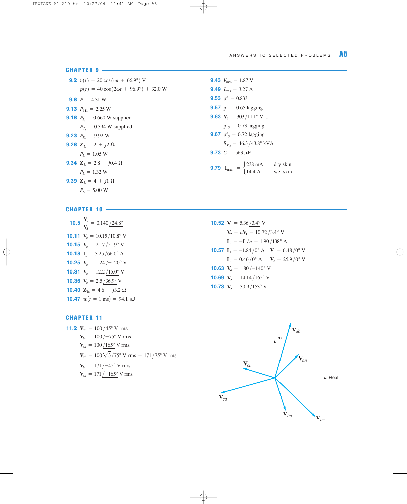### **CHAPTER 9**

**9.2**  $v(t) = 20 \cos(\omega t + 66.9^{\circ})$  V **9.43 9.8**  $P = 4.31$  W **9.13**  $P_{1 \Omega} = 2.25 \text{ W}$ **9.18**  $P_{I_s} = 0.660 \text{ W supplied}$  $P_{V_s} = 0.394$  W supplied **9.23**  $P_{R_L} = 9.92$  W **9.28**  $\mathbf{Z}_L = 2 + j2 \Omega$ **9.34**  $\mathbf{Z}_L = 2.8 + j0.4 \Omega$ **9.39**  $Z_L = 4 + j1 \Omega$  $P_L = 5.00 W$  $P_L = 1.32$  W  $P_L = 1.05 W$  $p(t) = 40 \cos(2\omega t + 96.9^{\circ}) + 32.0 \text{ W}$ 

**9.49**  $I_{\text{rms}} = 3.27 \text{ A}$ **9.53** pf =  $0.833$ **9.57** pf =  $0.65$  lagging **9.63**  $V_S = 303/11.1^\circ$  V<sub>rms</sub>  $pf<sub>S</sub> = 0.73$  lagging **9.67**  $pf_s = 0.72$  lagging **9.73**  $C = 563 \mu F$ **9.79**  $|\mathbf{I}_{\text{man}}| = \begin{cases} 238 \text{ mA} & \text{dry skin} \\ 14.4 \text{ A} & \text{wet skin} \end{cases}$ 14.4 A wet skin  $S_{V_s} = 46.3 / 43.8^\circ$  kVA **9.43**  $V_{\text{rms}} = 1.87 \text{ V}$ 

## **CHAPTER 10**

- **10.5**  $\frac{V_o}{V}$ **10.11**  $V_o = 10.15 / 10.8^\circ$  V **10.15**  $V_o = 2.17 / 5.19°$  V **10.18**  $I_o = 3.25/66.0^{\circ}$  A **10.25**  $V_o = 1.24 \div 120^\circ$  V **10.31**  $V_o = 12.2 / 15.0^{\circ}$  V **10.36**  $V_o = 2.5/36.9°$  V **10.40**  $\mathbf{Z}_{in} = 4.6 + j3.2 \Omega$ **10.47**  $w(t = 1 \text{ ms}) = 94.1 \mu\text{J}$  $\frac{V_o}{V_S} = 0.140 / 24.8^\circ$  **10.52** 
	- **10.57**  $I_1 = -1.84 / 0^{\circ}$  A  $V_1 = 6.48 / 0^{\circ}$  V **10.63**  $V_o = 1.80 \div 140^\circ$  V **10.69**  $V_s = 14.14 / 165^\circ$  V **10.73**  $V_s = 30.9 / 153^\circ$  V  $I_2 = 0.46/0^{\circ}$  A **V**<sub>2</sub> = 25.9/0<sup>°</sup> V  $I_2 = -I_1/n = 1.90/138^\circ$  A  $V_2 = nV_1 = 10.72 / 3.4$ ° V **10.52**  $V_1 = 5.36/3.4$ ° V

## **CHAPTER 11**

**11.2**  $V_{an} = 100 / 45^{\circ}$  V rms  $V_{ca} = 171 / -165$ ° V rms  $V_{bc} = 171 / -45$ ° V rms  $V_{ab} = 100\sqrt{3}/75^{\circ}$  V rms = 171/75<sup>°</sup> V rms  $V_{cn} = 100/165^{\circ}$  V rms  $V_{bn} = 100 / -75$ ° V rms

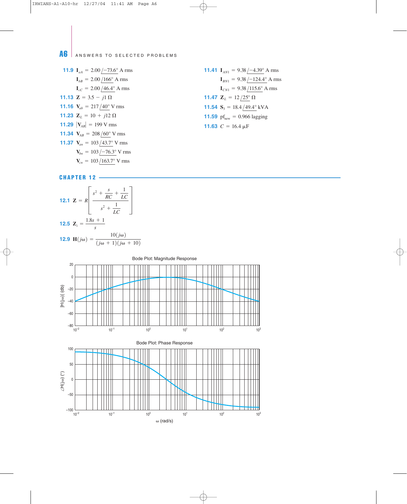# A6 ANSWERS TO SELECTED PROBLEMS

**11.9** 
$$
I_{aA} = 2.00 / -73.6^{\circ} \text{ A rms}
$$
  
\n $I_{bB} = 2.00 / 166^{\circ} \text{ A rms}$   
\n $I_{cC} = 2.00 / 46.4^{\circ} \text{ A rms}$   
\n**11.13**  $\mathbf{Z} = 3.5 - j1 \Omega$   
\n**11.16**  $V_{ab} = 217 / 40^{\circ} \text{ V rms}$   
\n**11.23**  $\mathbf{Z}_L = 10 + j12 \Omega$   
\n**11.29**  $|V_{AB}| = 199 \text{ V rms}$   
\n**11.34**  $V_{AB} = 208 / 60^{\circ} \text{ V rms}$   
\n**11.37**  $V_{an} = 103 / 43.7^{\circ} \text{ V rms}$   
\n $V_{bn} = 103 / -76.3^{\circ} \text{ V rms}$   
\n $V_{cn} = 103 / 163.7^{\circ} \text{ V rms}$ 

**11.41** 
$$
I_{AN1} = 9.38 / -4.39^{\circ}
$$
 A rms  
\n $I_{BN1} = 9.38 / -124.4^{\circ}$  A rms  
\n $I_{CN1} = 9.38 / 115.6^{\circ}$  A rms  
\n**11.47**  $\mathbb{Z}_L = 12 / 25^{\circ}$   $\Omega$   
\n**11.54**  $\mathbb{S}_3 = 18.4 / 49.4^{\circ}$  kVA  
\n**11.59**  $pf_{new} = 0.966$  lagging  
\n**11.63**  $C = 16.4 \mu F$ 

**12.1** 
$$
\mathbf{Z} = R \left[ \frac{s^2 + \frac{s}{RC} + \frac{1}{LC}}{s^2 + \frac{1}{LC}} \right]
$$
  
\n**12.5**  $\mathbf{Z}_i = \frac{1.8s + 1}{s}$   
\n**12.9**  $\mathbf{H}(j\omega) = \frac{10(j\omega)}{(j\omega + 1)(j\omega + 10)}$ 



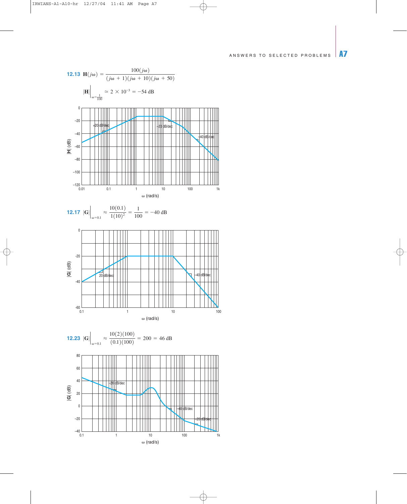# ANSWERS TO SELECTED PROBLEMS A7



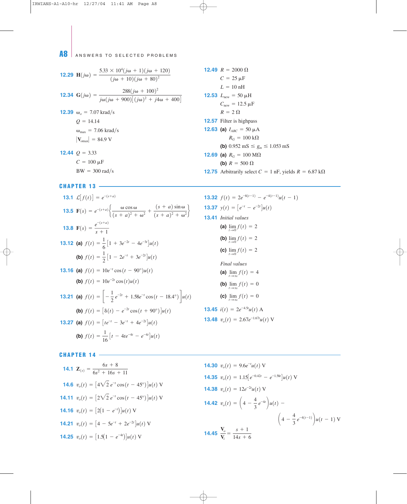A8 ANSWERS TO SELECTED PROBLEMS

**12.29 H**(*j*
$$
\omega
$$
) =  $\frac{5.33 \times 10^4 (j\omega + 1)(j\omega + 120)}{(j\omega + 10)(j\omega + 80)^2}$   
\n**12.34 G**(*j* $\omega$ ) =  $\frac{288(j\omega + 100)^2}{j\omega (j\omega + 900)[(j\omega)^2 + j4\omega + 400]}$   
\n**12.39**  $\omega_o$  = 7.07 krad/s  
\n $Q$  = 14.14  
\n $\omega_{\text{max}}$  = 7.06 krad/s  
\n $|\mathbf{V}_{\text{omax}}|$  = 84.9 V  
\n**12.44**  $Q$  = 3.33  
\n $C$  = 100  $\mu$ F

 $BW = 300 \text{ rad/s}$ 

## **CHAPTER 13**

**13.1** 
$$
\mathcal{L}[f(t)] = e^{-(s+a)}
$$
  
\n**13.32**  
\n**13.5**  $\mathbf{F}(s) = e^{-(s+a)} \bigg\{ \frac{\omega \cos \omega}{(s+a)^2 + \omega^2} + \frac{(s+a)\sin \omega}{(s+a)^2 + \omega^2} \bigg\}$   
\n**13.8**  $\mathbf{F}(s) = \frac{e^{-(s+a)}}{s+1}$   
\n**13.12** (a)  $f(t) = \frac{1}{6} \big[ 1 + 3e^{-2t} - 4e^{-3t} \big] u(t)$   
\n(b)  $f(t) = \frac{1}{2} \big[ 1 - 2e^{-t} + 3e^{-2t} \big] u(t)$   
\n**13.16** (a)  $f(t) = 10e^{-t} \cos(t - 90^\circ) u(t)$   
\n(b)  $f(t) = 10e^{-2t} \cos(t) u(t)$   
\n**13.21** (a)  $f(t) = \bigg[ -\frac{1}{2}e^{-2t} + 1.58e^{-t} \cos(t - 18.4^\circ) \bigg] u(t)$   
\n(b)  $f(t) = [\delta(t) - e^{-2t} \cos(t + 90^\circ)] u(t)$   
\n**13.27** (a)  $f(t) = \big[ te^{-t} - 3e^{-t} + 4e^{-2t} \big] u(t)$   
\n(b)  $f(t) = \frac{1}{16} \big[ t - 4te^{-4t} - e^{-4t} \big] u(t)$   
\n**13.48**

**12.49**  $R = 2000 \Omega$ **12.53**  $L_{\text{new}} = 50 \mu H$ **12.57** Filter is highpass **12.63 (a)**  $I_{ABC} = 50 \mu A$ **(b)**  $0.952 \text{ mS} \le g_m \le 1.053 \text{ mS}$ **12.69 (a)**  $R_G = 100 \text{ M}\Omega$ **(b)**  $R = 500 \Omega$ **12.75** Arbitrarily select  $C = 1$  nF, yields  $R = 6.87$  k $\Omega$  $R_G = 100 \text{ k}\Omega$  $R = 2 \Omega$  $C_{\text{new}} = 12.5 \,\mu\text{F}$  $L = 10$  nH  $C = 25 \mu F$ 

**13.32** 
$$
f(t) = 2e^{-8(t-1)} - e^{-4(t-1)}u(t-1)
$$
  
\n**13.37**  $y(t) = [e^{-t} - e^{-2t}]u(t)$   
\n**13.41** *Initial values*  
\n**(a)**  $\lim_{t \to 0} f(t) = 2$   
\n**(b)**  $\lim_{t \to 0} f(t) = 2$   
\n**(c)**  $\lim_{t \to 0} f(t) = 2$   
\n*Final values*  
\n**(a)**  $\lim_{t \to \infty} f(t) = 4$   
\n**(b)**  $\lim_{t \to \infty} f(t) = 0$   
\n**(c)**  $\lim_{t \to \infty} f(t) = 0$   
\n**13.45**  $i(t) = 2e^{-4.5t}u(t)$  A  
\n**13.48**  $v_o(t) = 2.67e^{-1.67t}u(t)$  V

**14.1** 
$$
\mathbf{Z}_{(s)} = \frac{6s + 8}{6s^2 + 16s + 11}
$$
  
\n**14.6**  $v_o(t) = [4\sqrt{2} e^{-t} \cos(t - 45^\circ)]u(t)$  V  
\n**14.11**  $v_o(t) = [2\sqrt{2} e^{-t} \cos(t - 45^\circ)]u(t)$  V  
\n**14.16**  $v_o(t) = [2(1 - e^{-t})]u(t)$  V  
\n**14.21**  $v_o(t) = [4 - 5e^{-t} + 2e^{-2t}]u(t)$  V  
\n**14.25**  $v_o(t) = [1.5(1 - e^{-4t})]u(t)$  V

**14.30** 
$$
v_o(t) = 9.6e^{-t}u(t)
$$
 V  
\n**14.35**  $v_o(t) = 1.15[e^{-0.42t} - e^{-1.58t}]u(t)$  V  
\n**14.38**  $v_o(t) = 12e^{-2t}u(t)$  V  
\n**14.42**  $v_o(t) = \left(4 - \frac{4}{3}e^{-4t}\right)u(t) - \left(4 - \frac{4}{3}e^{-4(t-1)}\right)u(t-1)$  V  
\n**14.45**  $\frac{V_o}{V_i} = \frac{s+1}{14s+6}$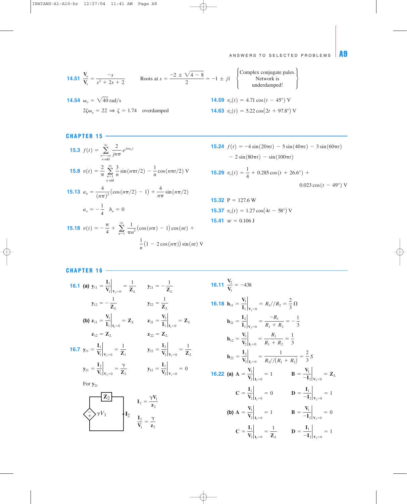# ANSWERS TO SELECTED PROBLEMS A9

**14.51** 
$$
\frac{V_o}{V_s} = \frac{-s}{s^2 + 2s + 2}
$$
 Roots at  $s = \frac{-2 \pm \sqrt{4 - 8}}{2} = -1 \pm j1$  {Complex conjugate pales.  
\n**14.54**  $\omega_o = \sqrt{40} \text{ rad/s}$  **14.59**  $v_o(t) = 4.71 \cos(t - 45^\circ)$  V

$$
2\zeta\omega_o = 22 \implies \zeta = 1.74
$$
 overdamped **14.63**  $v_o(t) = 5.22 \cos(2t + 97.8^\circ)$  V

**15.3** 
$$
f(t) = \sum_{n=-\infty}^{\infty} \frac{2}{jn\pi} e^{jn\omega_0 t}
$$
  
\n**15.8**  $v(t) = \frac{2}{\pi} \sum_{n=1}^{\infty} \frac{3}{n} \sin(n\pi t/2) - \frac{1}{n} \cos(n\pi t/2)$  V  
\n**15.13**  $a_n = \frac{4}{(n\pi)^2} (\cos(n\pi/2) - 1) + \frac{4}{n\pi} \sin(n\pi/2)$   
\n $a_o = -\frac{1}{4} b_n = 0$   
\n**15.18**  $v(t) = -\frac{\pi}{4} + \sum_{n=1}^{\infty} \frac{1}{\pi n^2} (\cos(n\pi) - 1) \cos(nt) + \frac{1}{n} (1 - 2 \cos(n\pi)) \sin(nt)$  V

**15.24** 
$$
f(t) = -4 \sin(20\pi t) - 5 \sin(40\pi t) - 3 \sin(60\pi t)
$$
  
-  $2 \sin(80\pi t) - \sin(100\pi t)$ 

**15.29** 
$$
v_o(t) = \frac{1}{4} + 0.285 \cos(t + 26.6^\circ) +
$$
  
0.023 cos(t - 49°) V

**15.32** P = 127.6 W  
**15.37** 
$$
v_o(t) = 1.27 \cos(4t - 58^\circ)
$$
 V  
**15.41**  $w = 0.106$  J

**CHAPTER 16 -**

**16.1 (a)** 
$$
y_{11} = \frac{I_1}{V_1}\Big|_{V_2=0} = \frac{1}{Z_L}
$$
  $y_{21} = -\frac{1}{Z_L}$   
\n $y_{12} = -\frac{1}{Z_L}$   $y_{22} = \frac{1}{Z_L}$   
\n**(b)**  $z_{11} = \frac{V_1}{I_1}\Big|_{I_2=0} = Z_L$   $z_{21} = \frac{V_2}{I_1}\Big|_{I_2=0} = Z_L$   
\n $z_{12} = Z_L$   $z_{22} = Z_L$   
\n**16.7**  $y_{11} = \frac{I_1}{V_1}\Big|_{V_2=0} = \frac{1}{Z_1}$   $y_{22} = \frac{I_2}{V_2}\Big|_{V_1=0} = \frac{1}{Z_2}$   
\n $y_{21} = \frac{I_2}{V_1}\Big|_{V_2=0} = \frac{\gamma}{Z_2}$   $y_{12} = \frac{I_1}{V_2}\Big|_{V_1=0} = 0$   
\nFor  $y_{21}$   $I_2 = \frac{\gamma V_1}{z_2}$   
\n $\frac{Z_2}{V_1} = \frac{\gamma V_1}{z_2}$ 

**16.11** 
$$
\frac{V_2}{V_1} = -438
$$
  
\n**16.18**  $\mathbf{h}_{11} = \frac{V_1}{I_1} \Big|_{V_2=0} = R_1 / R_2 = \frac{2}{3} \Omega$   
\n $\mathbf{h}_{21} = \frac{I_2}{I_1} \Big|_{V_2=0} = \frac{-R_1}{R_1 + R_2} = -\frac{1}{3}$   
\n $\mathbf{h}_{12} = \frac{V_1}{V_2} \Big|_{I_1=0} = \frac{R_1}{R_1 + R_2} = \frac{1}{3}$   
\n $\mathbf{h}_{22} = \frac{I_2}{V_2} \Big|_{I_1=0} = \frac{1}{R_3 / / (R_1 + R_2)} = \frac{2}{3} S$   
\n**16.22** (a)  $\mathbf{A} = \frac{V_1}{V_2} \Big|_{I_2=0} = 1$   $\mathbf{B} = \frac{V_1}{-I_2} \Big|_{V_2=0} = Z_L$   
\n $\mathbf{C} = \frac{I_1}{V_2} \Big|_{I_2=0} = 0$   $\mathbf{D} = \frac{I_1}{-I_2} \Big|_{V_2=0} = 1$   
\n(b)  $\mathbf{A} = \frac{V_1}{V_2} \Big|_{I_2=0} = 1$   $\mathbf{B} = \frac{V_1}{-I_2} \Big|_{V_2=0} = 0$   
\n $\mathbf{C} = \frac{I_1}{V_2} \Big|_{I_2=0} = \frac{1}{Z_L}$   $\mathbf{D} = \frac{I_1}{-I_2} \Big|_{V_2=0} = 1$